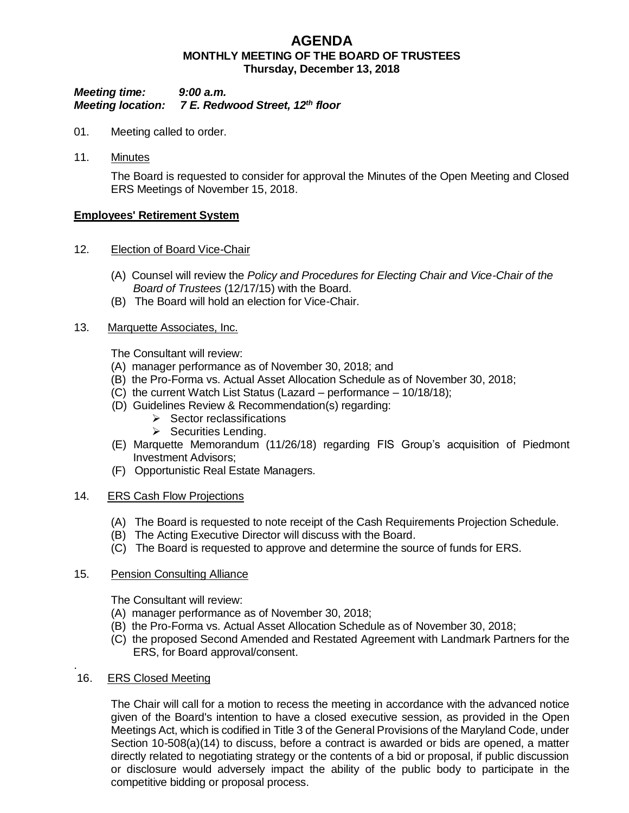# **AGENDA MONTHLY MEETING OF THE BOARD OF TRUSTEES Thursday, December 13, 2018**

### *Meeting time: 9:00 a.m. Meeting location: 7 E. Redwood Street, 12th floor*

- 01. Meeting called to order.
- 11. Minutes

The Board is requested to consider for approval the Minutes of the Open Meeting and Closed ERS Meetings of November 15, 2018.

# **Employees' Retirement System**

- 12. Election of Board Vice-Chair
	- (A) Counsel will review the *Policy and Procedures for Electing Chair and Vice-Chair of the Board of Trustees* (12/17/15) with the Board.
	- (B) The Board will hold an election for Vice-Chair.

### 13. Marquette Associates, Inc.

The Consultant will review:

- (A) manager performance as of November 30, 2018; and
- (B) the Pro-Forma vs. Actual Asset Allocation Schedule as of November 30, 2018;
- (C) the current Watch List Status (Lazard performance 10/18/18);
- (D) Guidelines Review & Recommendation(s) regarding:
	- $\triangleright$  Sector reclassifications
	- $\triangleright$  Securities Lending.
- (E) Marquette Memorandum (11/26/18) regarding FIS Group's acquisition of Piedmont Investment Advisors;
- (F) Opportunistic Real Estate Managers.

#### 14. ERS Cash Flow Projections

- (A) The Board is requested to note receipt of the Cash Requirements Projection Schedule.
- (B) The Acting Executive Director will discuss with the Board.
- (C) The Board is requested to approve and determine the source of funds for ERS.

#### 15. Pension Consulting Alliance

The Consultant will review:

- (A) manager performance as of November 30, 2018;
- (B) the Pro-Forma vs. Actual Asset Allocation Schedule as of November 30, 2018;
- (C) the proposed Second Amended and Restated Agreement with Landmark Partners for the ERS, for Board approval/consent.
- 16. ERS Closed Meeting

.

The Chair will call for a motion to recess the meeting in accordance with the advanced notice given of the Board's intention to have a closed executive session, as provided in the Open Meetings Act, which is codified in Title 3 of the General Provisions of the Maryland Code, under Section 10-508(a)(14) to discuss, before a contract is awarded or bids are opened, a matter directly related to negotiating strategy or the contents of a bid or proposal, if public discussion or disclosure would adversely impact the ability of the public body to participate in the competitive bidding or proposal process.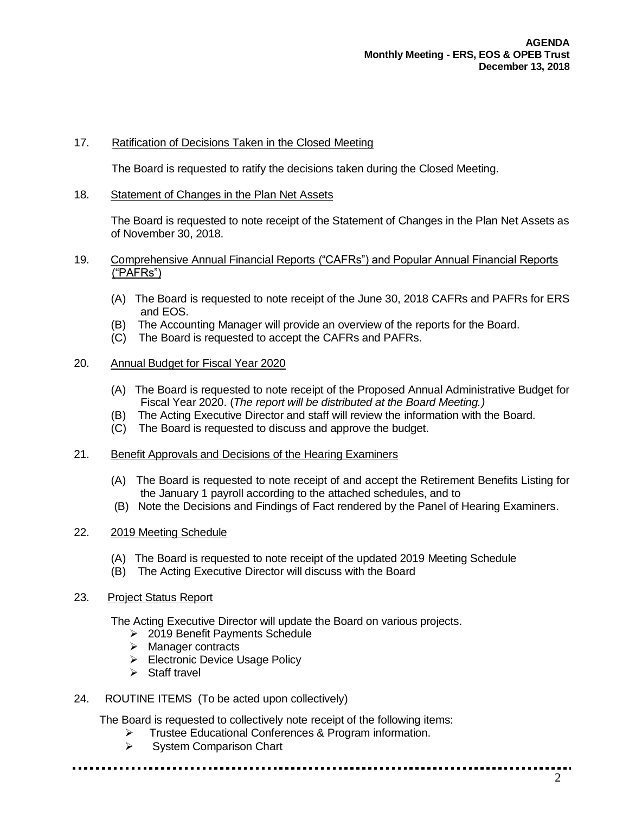### 17. Ratification of Decisions Taken in the Closed Meeting

The Board is requested to ratify the decisions taken during the Closed Meeting.

### 18. Statement of Changes in the Plan Net Assets

The Board is requested to note receipt of the Statement of Changes in the Plan Net Assets as of November 30, 2018.

### 19. Comprehensive Annual Financial Reports ("CAFRs") and Popular Annual Financial Reports ("PAFRs")

- (A) The Board is requested to note receipt of the June 30, 2018 CAFRs and PAFRs for ERS and EOS.
- (B) The Accounting Manager will provide an overview of the reports for the Board.
- (C) The Board is requested to accept the CAFRs and PAFRs.

### 20. Annual Budget for Fiscal Year 2020

- (A) The Board is requested to note receipt of the Proposed Annual Administrative Budget for Fiscal Year 2020. (*The report will be distributed at the Board Meeting.)*
- (B) The Acting Executive Director and staff will review the information with the Board.
- (C) The Board is requested to discuss and approve the budget.

### 21. Benefit Approvals and Decisions of the Hearing Examiners

- (A) The Board is requested to note receipt of and accept the Retirement Benefits Listing for the January 1 payroll according to the attached schedules, and to
- (B) Note the Decisions and Findings of Fact rendered by the Panel of Hearing Examiners.

### 22. 2019 Meeting Schedule

- (A) The Board is requested to note receipt of the updated 2019 Meeting Schedule
- (B) The Acting Executive Director will discuss with the Board

# 23. Project Status Report

The Acting Executive Director will update the Board on various projects.

- > 2019 Benefit Payments Schedule
- $\triangleright$  Manager contracts
- Electronic Device Usage Policy
- $\triangleright$  Staff travel

# 24. ROUTINE ITEMS (To be acted upon collectively)

The Board is requested to collectively note receipt of the following items:

- > Trustee Educational Conferences & Program information.
- $\triangleright$  System Comparison Chart